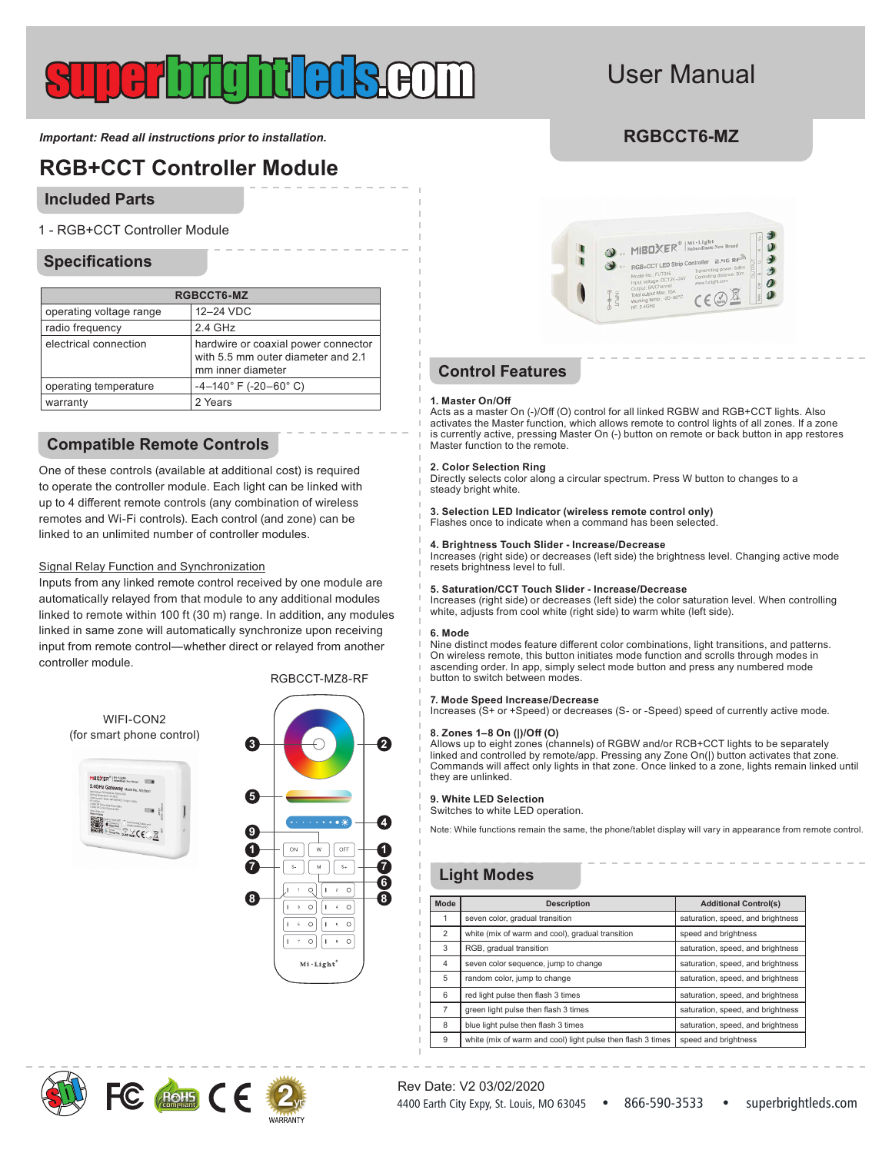## User Manual

*Important: Read all instructions prior to installation. RGBCCT6-MZ* 

## **RGB+CCT Controller Module**

#### **Included Parts**

1 - RGB+CCT Controller Module

#### **Specifications**

| <b>RGBCCT6-MZ</b>       |                                                                                                |  |
|-------------------------|------------------------------------------------------------------------------------------------|--|
| operating voltage range | 12-24 VDC                                                                                      |  |
| radio frequency         | 2.4 GHz                                                                                        |  |
| electrical connection   | hardwire or coaxial power connector<br>with 5.5 mm outer diameter and 2.1<br>mm inner diameter |  |
| operating temperature   | $-4-140$ ° F (-20-60° C)                                                                       |  |
| warranty                | 2 Years                                                                                        |  |

### **Compatible Remote Controls**

One of these controls (available at additional cost) is required to operate the controller module. Each light can be linked with up to 4 different remote controls (any combination of wireless remotes and Wi-Fi controls). Each control (and zone) can be linked to an unlimited number of controller modules.

#### Signal Relay Function and Synchronization

**IBOXER® IMI-Light**  $2.4$ GHz $<sub>G</sub>$ </sub> eway Model No.: Y

Inputs from any linked remote control received by one module are automatically relayed from that module to any additional modules linked to remote within 100 ft (30 m) range. In addition, any modules linked in same zone will automatically synchronize upon receiving input from remote control—whether direct or relayed from another controller module.





#### **Control Features**

#### **1. Master On/Off**

Acts as a master On (-)/Off (O) control for all linked RGBW and RGB+CCT lights. Also activates the Master function, which allows remote to control lights of all zones. If a zone is currently active, pressing Master On (-) button on remote or back button in app restores Master function to the remote.

#### **2. Color Selection Ring**

Directly selects color along a circular spectrum. Press W button to changes to a steady bright white.

#### **3. Selection LED Indicator (wireless remote control only)**

Flashes once to indicate when a command has been selected.

#### **4. Brightness Touch Slider - Increase/Decrease**

Increases (right side) or decreases (left side) the brightness level. Changing active mode resets brightness level to full.

#### **5. Saturation/CCT Touch Slider - Increase/Decrease**

Increases (right side) or decreases (left side) the color saturation level. When controlling white, adjusts from cool white (right side) to warm white (left side).

#### **6. Mode**

Nine distinct modes feature different color combinations, light transitions, and patterns. On wireless remote, this button initiates mode function and scrolls through modes in ascending order. In app, simply select mode button and press any numbered mode button to switch between modes.

#### **7. Mode Speed Increase/Decrease**

Increases (S+ or +Speed) or decreases (S- or -Speed) speed of currently active mode.

#### **8. Zones 1–8 On (|)/Off (O)**

Allows up to eight zones (channels) of RGBW and/or RCB+CCT lights to be separately linked and controlled by remote/app. Pressing any Zone On(|) button activates that zone. Commands will affect only lights in that zone. Once linked to a zone, lights remain linked until they are unlinked.

#### **9. White LED Selection**

Switches to white LED operation.

Note: While functions remain the same, the phone/tablet display will vary in appearance from remote control.

### **Light Modes**

| Mode           | <b>Description</b>                                          | <b>Additional Control(s)</b>      |
|----------------|-------------------------------------------------------------|-----------------------------------|
| 1              | seven color, gradual transition                             | saturation, speed, and brightness |
| 2              | white (mix of warm and cool), gradual transition            | speed and brightness              |
| 3              | RGB, gradual transition                                     | saturation, speed, and brightness |
| $\overline{4}$ | seven color sequence, jump to change                        | saturation, speed, and brightness |
| 5              | random color, jump to change                                | saturation, speed, and brightness |
| 6              | red light pulse then flash 3 times                          | saturation, speed, and brightness |
| $\overline{7}$ | green light pulse then flash 3 times                        | saturation, speed, and brightness |
| 8              | blue light pulse then flash 3 times                         | saturation, speed, and brightness |
| 9              | white (mix of warm and cool) light pulse then flash 3 times | speed and brightness              |